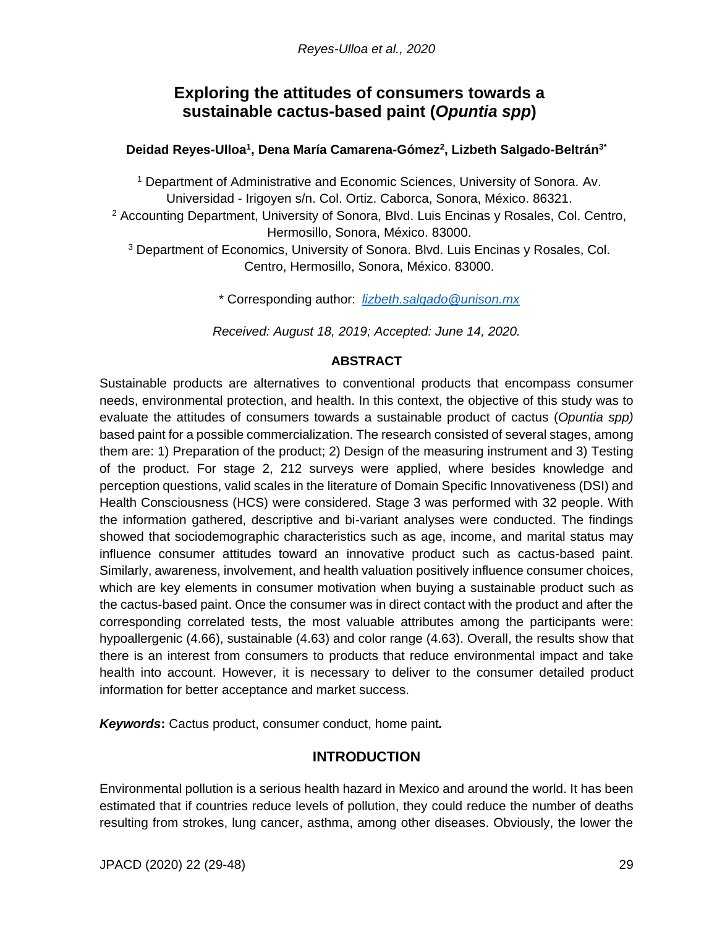# **Exploring the attitudes of consumers towards a sustainable cactus-based paint (***Opuntia spp***)**

## **Deidad Reyes-Ulloa<sup>1</sup> , Dena María Camarena-Gómez<sup>2</sup> , Lizbeth Salgado-Beltrán3\***

<sup>1</sup> Department of Administrative and Economic Sciences, University of Sonora. Av. Universidad - Irigoyen s/n. Col. Ortiz. Caborca, Sonora, México. 86321. <sup>2</sup> Accounting Department, University of Sonora, Blvd. Luis Encinas y Rosales, Col. Centro, Hermosillo, Sonora, México. 83000. <sup>3</sup> Department of Economics, University of Sonora. Blvd. Luis Encinas y Rosales, Col. Centro, Hermosillo, Sonora, México. 83000.

\* Corresponding author: *[lizbeth.salgado@unison.mx](about:blank)*

*Received: August 18, 2019; Accepted: June 14, 2020.*

### **ABSTRACT**

Sustainable products are alternatives to conventional products that encompass consumer needs, environmental protection, and health. In this context, the objective of this study was to evaluate the attitudes of consumers towards a sustainable product of cactus (*Opuntia spp)* based paint for a possible commercialization. The research consisted of several stages, among them are: 1) Preparation of the product; 2) Design of the measuring instrument and 3) Testing of the product. For stage 2, 212 surveys were applied, where besides knowledge and perception questions, valid scales in the literature of Domain Specific Innovativeness (DSI) and Health Consciousness (HCS) were considered. Stage 3 was performed with 32 people. With the information gathered, descriptive and bi-variant analyses were conducted. The findings showed that sociodemographic characteristics such as age, income, and marital status may influence consumer attitudes toward an innovative product such as cactus-based paint. Similarly, awareness, involvement, and health valuation positively influence consumer choices, which are key elements in consumer motivation when buying a sustainable product such as the cactus-based paint. Once the consumer was in direct contact with the product and after the corresponding correlated tests, the most valuable attributes among the participants were: hypoallergenic (4.66), sustainable (4.63) and color range (4.63). Overall, the results show that there is an interest from consumers to products that reduce environmental impact and take health into account. However, it is necessary to deliver to the consumer detailed product information for better acceptance and market success.

*Keywords***:** Cactus product, consumer conduct, home paint*.*

## **INTRODUCTION**

Environmental pollution is a serious health hazard in Mexico and around the world. It has been estimated that if countries reduce levels of pollution, they could reduce the number of deaths resulting from strokes, lung cancer, asthma, among other diseases. Obviously, the lower the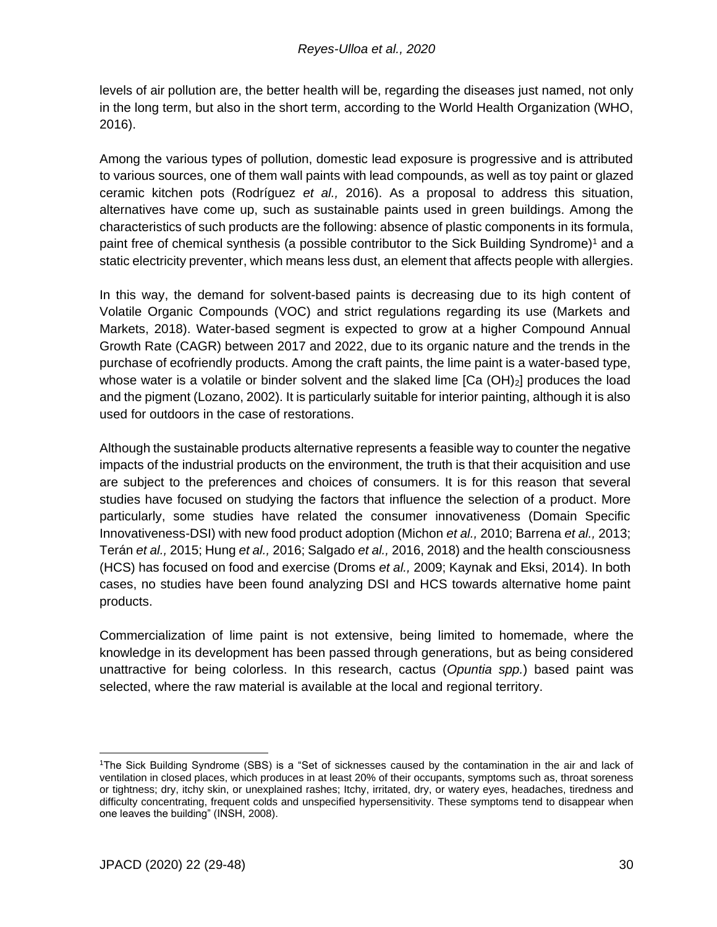levels of air pollution are, the better health will be, regarding the diseases just named, not only in the long term, but also in the short term, according to the World Health Organization (WHO, 2016).

Among the various types of pollution, domestic lead exposure is progressive and is attributed to various sources, one of them wall paints with lead compounds, as well as toy paint or glazed ceramic kitchen pots (Rodríguez *et al.,* 2016). As a proposal to address this situation, alternatives have come up, such as sustainable paints used in green buildings. Among the characteristics of such products are the following: absence of plastic components in its formula, paint free of chemical synthesis (a possible contributor to the Sick Building Syndrome)<sup>1</sup> and a static electricity preventer, which means less dust, an element that affects people with allergies.

In this way, the demand for solvent-based paints is decreasing due to its high content of Volatile Organic Compounds (VOC) and strict regulations regarding its use (Markets and Markets, 2018). Water-based segment is expected to grow at a higher Compound Annual Growth Rate (CAGR) between 2017 and 2022, due to its organic nature and the trends in the purchase of ecofriendly products. Among the craft paints, the lime paint is a water-based type, whose water is a volatile or binder solvent and the slaked lime  $[Ca (OH)<sub>2</sub>]$  produces the load and the pigment (Lozano, 2002). It is particularly suitable for interior painting, although it is also used for outdoors in the case of restorations.

Although the sustainable products alternative represents a feasible way to counter the negative impacts of the industrial products on the environment, the truth is that their acquisition and use are subject to the preferences and choices of consumers. It is for this reason that several studies have focused on studying the factors that influence the selection of a product. More particularly, some studies have related the consumer innovativeness (Domain Specific Innovativeness-DSI) with new food product adoption (Michon *et al.,* 2010; Barrena *et al.,* 2013; Terán *et al.,* 2015; Hung *et al.,* 2016; Salgado *et al.,* 2016, 2018) and the health consciousness (HCS) has focused on food and exercise (Droms *et al.,* 2009; Kaynak and Eksi, 2014). In both cases, no studies have been found analyzing DSI and HCS towards alternative home paint products.

Commercialization of lime paint is not extensive, being limited to homemade, where the knowledge in its development has been passed through generations, but as being considered unattractive for being colorless. In this research, cactus (*Opuntia spp.*) based paint was selected, where the raw material is available at the local and regional territory.

<sup>1</sup>The Sick Building Syndrome (SBS) is a "Set of sicknesses caused by the contamination in the air and lack of ventilation in closed places, which produces in at least 20% of their occupants, symptoms such as, throat soreness or tightness; dry, itchy skin, or unexplained rashes; Itchy, irritated, dry, or watery eyes, headaches, tiredness and difficulty concentrating, frequent colds and unspecified hypersensitivity. These symptoms tend to disappear when one leaves the building" (INSH, 2008).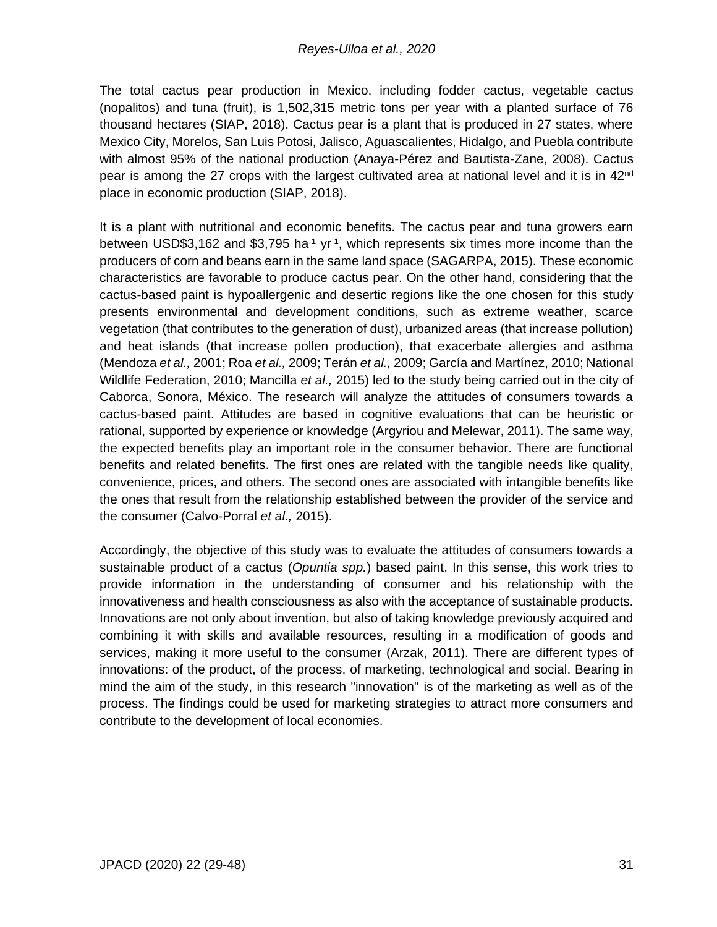The total cactus pear production in Mexico, including fodder cactus, vegetable cactus (nopalitos) and tuna (fruit), is 1,502,315 metric tons per year with a planted surface of 76 thousand hectares (SIAP, 2018). Cactus pear is a plant that is produced in 27 states, where Mexico City, Morelos, San Luis Potosi, Jalisco, Aguascalientes, Hidalgo, and Puebla contribute with almost 95% of the national production (Anaya-Pérez and Bautista-Zane, 2008). Cactus pear is among the 27 crops with the largest cultivated area at national level and it is in 42nd place in economic production (SIAP, 2018).

It is a plant with nutritional and economic benefits. The cactus pear and tuna growers earn between USD\$3,162 and \$3,795 ha<sup>-1</sup> yr<sup>-1</sup>, which represents six times more income than the producers of corn and beans earn in the same land space (SAGARPA, 2015). These economic characteristics are favorable to produce cactus pear. On the other hand, considering that the cactus-based paint is hypoallergenic and desertic regions like the one chosen for this study presents environmental and development conditions, such as extreme weather, scarce vegetation (that contributes to the generation of dust), urbanized areas (that increase pollution) and heat islands (that increase pollen production), that exacerbate allergies and asthma (Mendoza *et al.,* 2001; Roa *et al.,* 2009; Terán *et al.,* 2009; García and Martínez, 2010; National Wildlife Federation, 2010; Mancilla *et al.,* 2015) led to the study being carried out in the city of Caborca, Sonora, México. The research will analyze the attitudes of consumers towards a cactus-based paint. Attitudes are based in cognitive evaluations that can be heuristic or rational, supported by experience or knowledge (Argyriou and Melewar, 2011). The same way, the expected benefits play an important role in the consumer behavior. There are functional benefits and related benefits. The first ones are related with the tangible needs like quality, convenience, prices, and others. The second ones are associated with intangible benefits like the ones that result from the relationship established between the provider of the service and the consumer (Calvo-Porral *et al.,* 2015).

Accordingly, the objective of this study was to evaluate the attitudes of consumers towards a sustainable product of a cactus (*Opuntia spp.*) based paint. In this sense, this work tries to provide information in the understanding of consumer and his relationship with the innovativeness and health consciousness as also with the acceptance of sustainable products. Innovations are not only about invention, but also of taking knowledge previously acquired and combining it with skills and available resources, resulting in a modification of goods and services, making it more useful to the consumer (Arzak, 2011). There are different types of innovations: of the product, of the process, of marketing, technological and social. Bearing in mind the aim of the study, in this research "innovation" is of the marketing as well as of the process. The findings could be used for marketing strategies to attract more consumers and contribute to the development of local economies.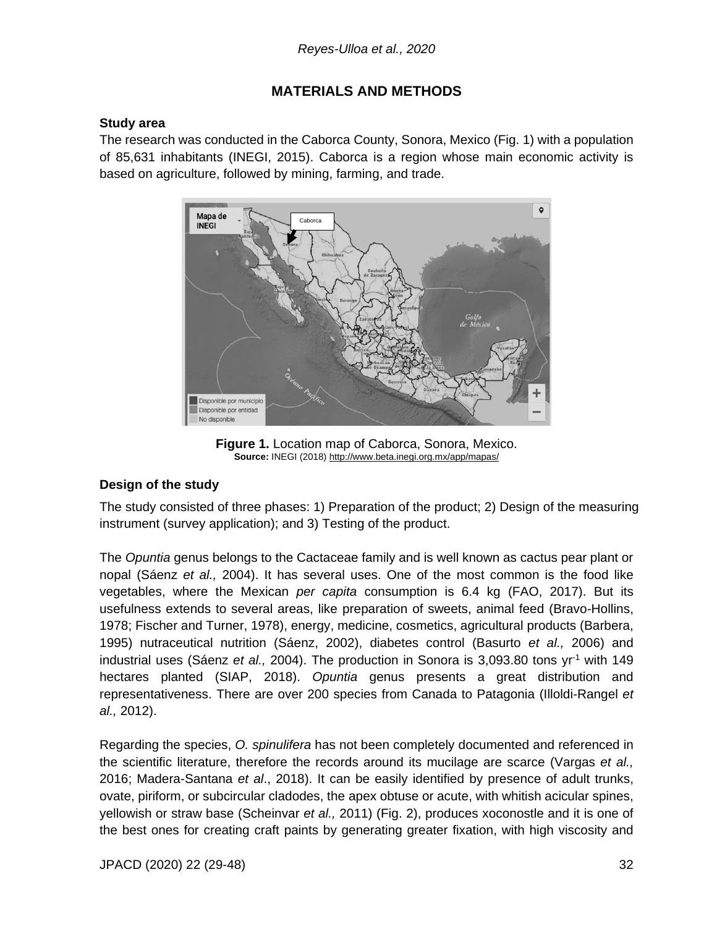## **MATERIALS AND METHODS**

#### **Study area**

The research was conducted in the Caborca County, Sonora, Mexico (Fig. 1) with a population of 85,631 inhabitants (INEGI, 2015). Caborca is a region whose main economic activity is based on agriculture, followed by mining, farming, and trade.



**Figure 1.** Location map of Caborca, Sonora, Mexico. **Source:** INEGI (2018[\) http://www.beta.inegi.org.mx/app/mapas/](about:blank)

#### **Design of the study**

The study consisted of three phases: 1) Preparation of the product; 2) Design of the measuring instrument (survey application); and 3) Testing of the product.

The *Opuntia* genus belongs to the Cactaceae family and is well known as cactus pear plant or nopal (Sáenz *et al.,* 2004). It has several uses. One of the most common is the food like vegetables, where the Mexican *per capita* consumption is 6.4 kg (FAO, 2017). But its usefulness extends to several areas, like preparation of sweets, animal feed (Bravo-Hollins, 1978; Fischer and Turner, 1978), energy, medicine, cosmetics, agricultural products (Barbera, 1995) nutraceutical nutrition (Sáenz, 2002), diabetes control (Basurto *et al.,* 2006) and industrial uses (Sáenz *et al.,* 2004). The production in Sonora is 3,093.80 tons yr<sup>-1</sup> with 149 hectares planted (SIAP, 2018). *Opuntia* genus presents a great distribution and representativeness. There are over 200 species from Canada to Patagonia (Illoldi-Rangel *et al.,* 2012).

Regarding the species, *O. spinulifera* has not been completely documented and referenced in the scientific literature, therefore the records around its mucilage are scarce (Vargas *et al.,* 2016; Madera-Santana *et al*., 2018). It can be easily identified by presence of adult trunks, ovate, piriform, or subcircular cladodes, the apex obtuse or acute, with whitish acicular spines, yellowish or straw base (Scheinvar *et al.,* 2011) (Fig. 2), produces xoconostle and it is one of the best ones for creating craft paints by generating greater fixation, with high viscosity and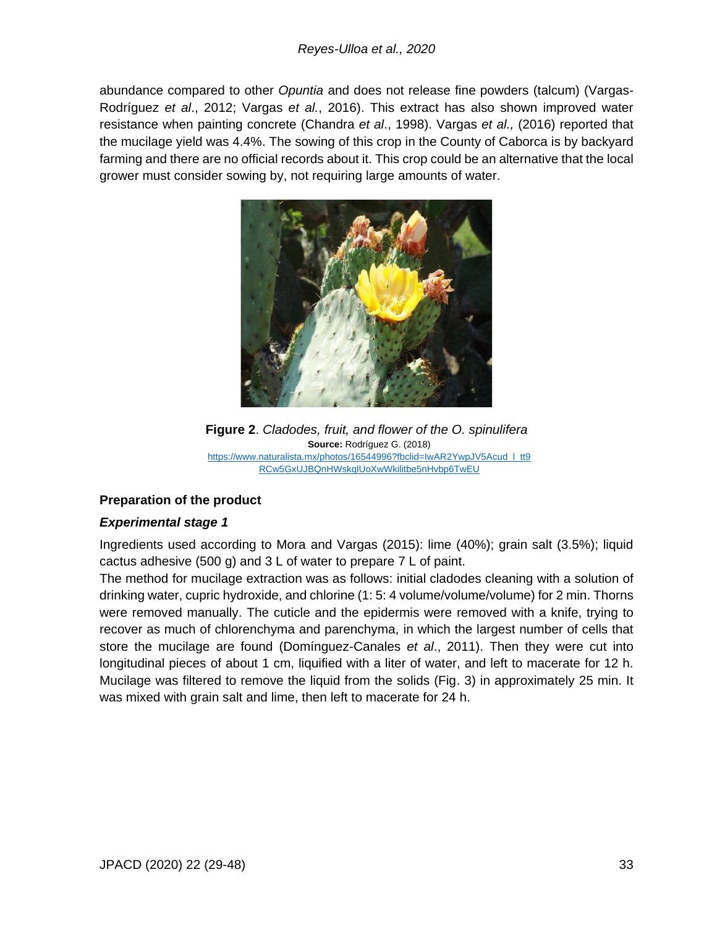abundance compared to other *Opuntia* and does not release fine powders (talcum) (Vargas-Rodríguez *et al*., 2012; Vargas *et al.*, 2016). This extract has also shown improved water resistance when painting concrete (Chandra *et al*., 1998). Vargas *et al.,* (2016) reported that the mucilage yield was 4.4%. The sowing of this crop in the County of Caborca is by backyard farming and there are no official records about it. This crop could be an alternative that the local grower must consider sowing by, not requiring large amounts of water.



**Figure 2**. *Cladodes, fruit, and flower of the O. spinulifera* **Source:** Rodríguez G. (2018) [https://www.naturalista.mx/photos/16544996?fbclid=IwAR2YwpJV5Acud\\_l\\_tt9](https://www.naturalista.mx/photos/16544996?fbclid=IwAR2YwpJV5Acud_l_tt9RCw5GxUJBQnHWskqlUoXwWkilitbe5nHvbp6TwEU) [RCw5GxUJBQnHWskqlUoXwWkilitbe5nHvbp6TwEU](https://www.naturalista.mx/photos/16544996?fbclid=IwAR2YwpJV5Acud_l_tt9RCw5GxUJBQnHWskqlUoXwWkilitbe5nHvbp6TwEU)

### **Preparation of the product**

### *Experimental stage 1*

Ingredients used according to Mora and Vargas (2015): lime (40%); grain salt (3.5%); liquid cactus adhesive (500 g) and 3 L of water to prepare 7 L of paint.

The method for mucilage extraction was as follows: initial cladodes cleaning with a solution of drinking water, cupric hydroxide, and chlorine (1: 5: 4 volume/volume/volume) for 2 min. Thorns were removed manually. The cuticle and the epidermis were removed with a knife, trying to recover as much of chlorenchyma and parenchyma, in which the largest number of cells that store the mucilage are found (Domínguez-Canales *et al*., 2011). Then they were cut into longitudinal pieces of about 1 cm, liquified with a liter of water, and left to macerate for 12 h. Mucilage was filtered to remove the liquid from the solids (Fig. 3) in approximately 25 min. It was mixed with grain salt and lime, then left to macerate for 24 h.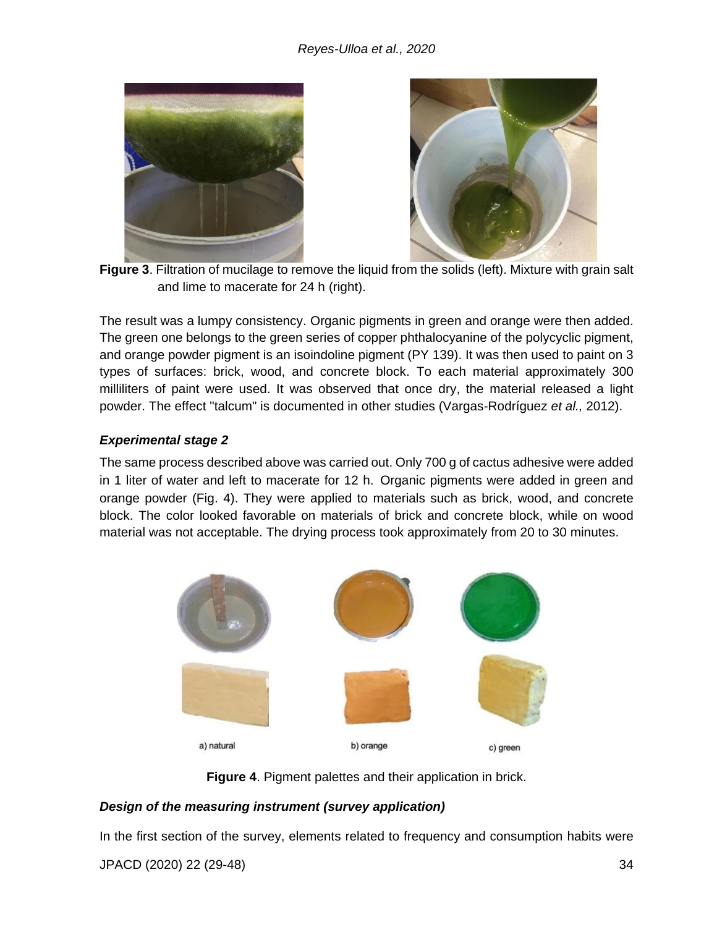



**Figure 3**. Filtration of mucilage to remove the liquid from the solids (left). Mixture with grain salt and lime to macerate for 24 h (right).

The result was a lumpy consistency. Organic pigments in green and orange were then added. The green one belongs to the green series of copper phthalocyanine of the polycyclic pigment, and orange powder pigment is an isoindoline pigment (PY 139). It was then used to paint on 3 types of surfaces: brick, wood, and concrete block. To each material approximately 300 milliliters of paint were used. It was observed that once dry, the material released a light powder. The effect "talcum" is documented in other studies (Vargas-Rodríguez *et al.,* 2012).

#### *Experimental stage 2*

The same process described above was carried out. Only 700 g of cactus adhesive were added in 1 liter of water and left to macerate for 12 h. Organic pigments were added in green and orange powder (Fig. 4). They were applied to materials such as brick, wood, and concrete block. The color looked favorable on materials of brick and concrete block, while on wood material was not acceptable. The drying process took approximately from 20 to 30 minutes.



**Figure 4**. Pigment palettes and their application in brick.

### *Design of the measuring instrument (survey application)*

In the first section of the survey, elements related to frequency and consumption habits were

JPACD (2020) 22 (29-48) 34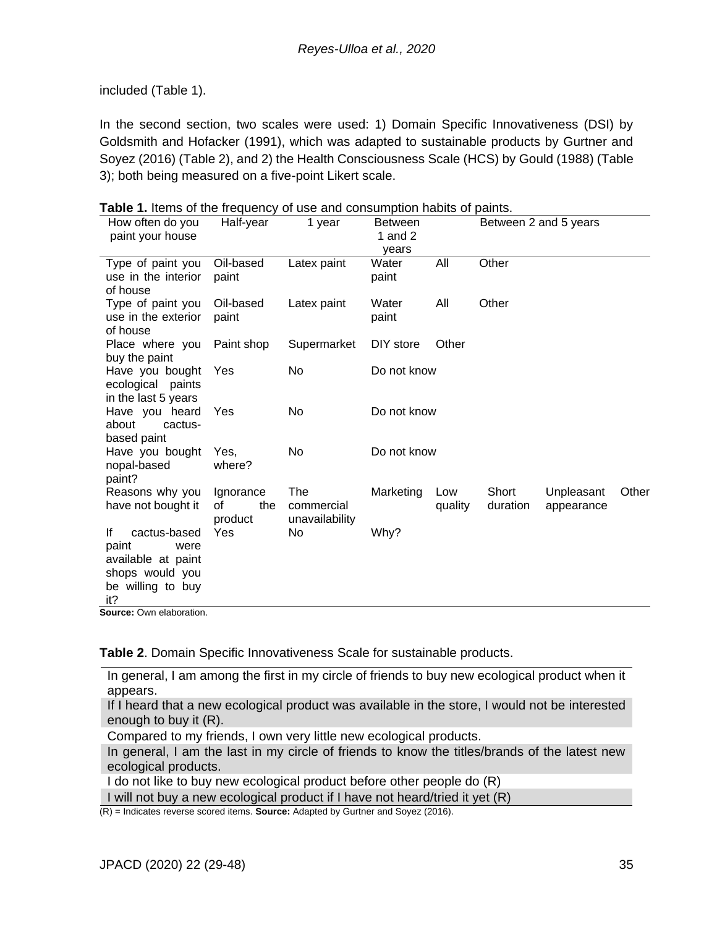included (Table 1).

In the second section, two scales were used: 1) Domain Specific Innovativeness (DSI) by Goldsmith and Hofacker (1991), which was adapted to sustainable products by Gurtner and Soyez (2016) (Table 2), and 2) the Health Consciousness Scale (HCS) by Gould (1988) (Table 3); both being measured on a five-point Likert scale.

| How often do you<br>paint your house                                                                                                         | Half-year                         | 1 year                              | <b>Between</b><br>1 and $2$<br>years |                | Between 2 and 5 years |                          |       |
|----------------------------------------------------------------------------------------------------------------------------------------------|-----------------------------------|-------------------------------------|--------------------------------------|----------------|-----------------------|--------------------------|-------|
| Type of paint you<br>use in the interior<br>of house                                                                                         | Oil-based<br>paint                | Latex paint                         | Water<br>paint                       | All            | Other                 |                          |       |
| Type of paint you<br>use in the exterior<br>of house                                                                                         | Oil-based<br>paint                | Latex paint                         | Water<br>paint                       | All            | Other                 |                          |       |
| Place where you<br>buy the paint                                                                                                             | Paint shop                        | Supermarket                         | DIY store                            | Other          |                       |                          |       |
| Have you bought<br>ecological paints<br>in the last 5 years                                                                                  | Yes                               | No                                  | Do not know                          |                |                       |                          |       |
| Have you heard<br>about<br>cactus-<br>based paint                                                                                            | Yes                               | No                                  | Do not know                          |                |                       |                          |       |
| Have you bought<br>nopal-based<br>paint?                                                                                                     | Yes.<br>where?                    | No                                  | Do not know                          |                |                       |                          |       |
| Reasons why you<br>have not bought it                                                                                                        | Ignorance<br>the<br>οf<br>product | The<br>commercial<br>unavailability | Marketing                            | Low<br>quality | Short<br>duration     | Unpleasant<br>appearance | Other |
| cactus-based<br>lf.<br>paint<br>were<br>available at paint<br>shops would you<br>be willing to buy<br>it?<br><b>Source: Own elaboration.</b> | Yes                               | No.                                 | Why?                                 |                |                       |                          |       |

**Table 1.** Items of the frequency of use and consumption habits of paints.

**Table 2**. Domain Specific Innovativeness Scale for sustainable products.

In general, I am among the first in my circle of friends to buy new ecological product when it appears.

If I heard that a new ecological product was available in the store, I would not be interested enough to buy it (R).

Compared to my friends, I own very little new ecological products.

In general, I am the last in my circle of friends to know the titles/brands of the latest new ecological products.

I do not like to buy new ecological product before other people do (R)

I will not buy a new ecological product if I have not heard/tried it yet (R)

(R) = Indicates reverse scored items. **Source:** Adapted by Gurtner and Soyez (2016).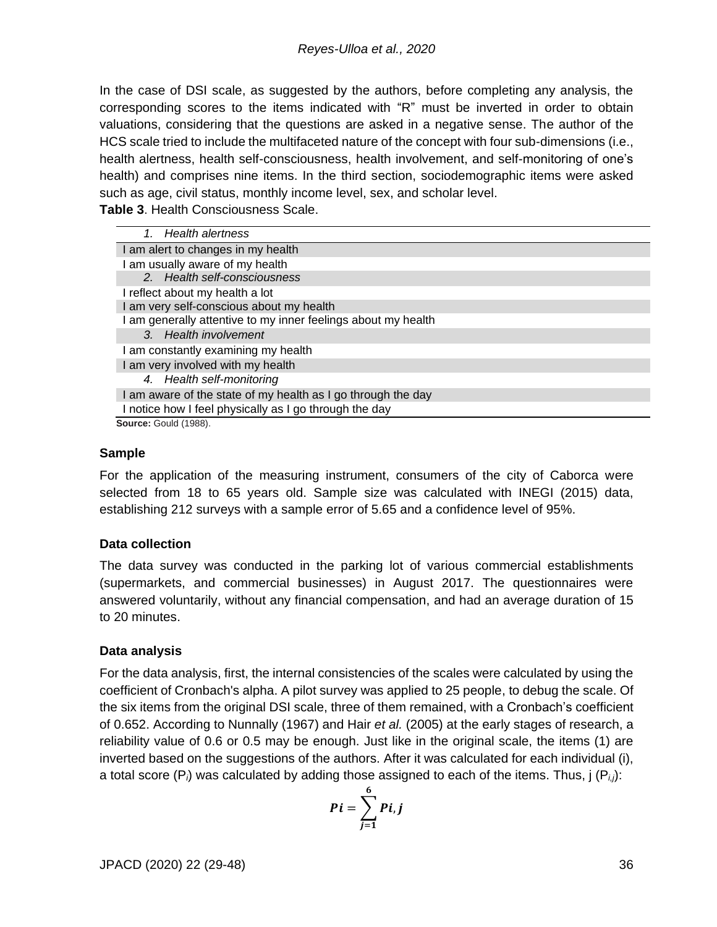In the case of DSI scale, as suggested by the authors, before completing any analysis, the corresponding scores to the items indicated with "R" must be inverted in order to obtain valuations, considering that the questions are asked in a negative sense. The author of the HCS scale tried to include the multifaceted nature of the concept with four sub-dimensions (i.e., health alertness, health self-consciousness, health involvement, and self-monitoring of one's health) and comprises nine items. In the third section, sociodemographic items were asked such as age, civil status, monthly income level, sex, and scholar level.

**Table 3**. Health Consciousness Scale.

| Health alertness<br>$1_{-}$                                  |
|--------------------------------------------------------------|
| I am alert to changes in my health                           |
| am usually aware of my health                                |
| 2. Health self-consciousness                                 |
| I reflect about my health a lot                              |
| I am very self-conscious about my health                     |
| am generally attentive to my inner feelings about my health  |
| 3. Health involvement                                        |
| am constantly examining my health                            |
| I am very involved with my health                            |
| 4. Health self-monitoring                                    |
| I am aware of the state of my health as I go through the day |
| I notice how I feel physically as I go through the day       |
| Source: Gould (1988).                                        |

#### **Sample**

For the application of the measuring instrument, consumers of the city of Caborca were selected from 18 to 65 years old. Sample size was calculated with INEGI (2015) data, establishing 212 surveys with a sample error of 5.65 and a confidence level of 95%.

#### **Data collection**

The data survey was conducted in the parking lot of various commercial establishments (supermarkets, and commercial businesses) in August 2017. The questionnaires were answered voluntarily, without any financial compensation, and had an average duration of 15 to 20 minutes.

#### **Data analysis**

For the data analysis, first, the internal consistencies of the scales were calculated by using the coefficient of Cronbach's alpha. A pilot survey was applied to 25 people, to debug the scale. Of the six items from the original DSI scale, three of them remained, with a Cronbach's coefficient of 0.652. According to Nunnally (1967) and Hair *et al.* (2005) at the early stages of research, a reliability value of 0.6 or 0.5 may be enough. Just like in the original scale, the items (1) are inverted based on the suggestions of the authors. After it was calculated for each individual (i), a total score (P*i*) was calculated by adding those assigned to each of the items. Thus, j (P*i,j*):

$$
Pi=\sum_{j=1}^6Pi,j
$$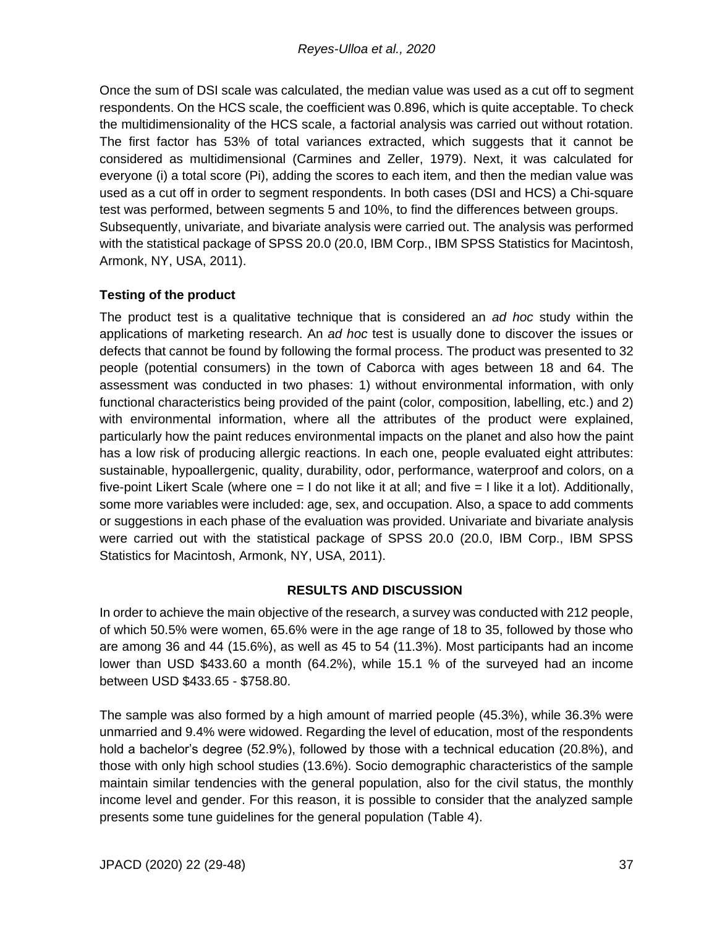Once the sum of DSI scale was calculated, the median value was used as a cut off to segment respondents. On the HCS scale, the coefficient was 0.896, which is quite acceptable. To check the multidimensionality of the HCS scale, a factorial analysis was carried out without rotation. The first factor has 53% of total variances extracted, which suggests that it cannot be considered as multidimensional (Carmines and Zeller, 1979). Next, it was calculated for everyone (i) a total score (Pi), adding the scores to each item, and then the median value was used as a cut off in order to segment respondents. In both cases (DSI and HCS) a Chi-square test was performed, between segments 5 and 10%, to find the differences between groups. Subsequently, univariate, and bivariate analysis were carried out. The analysis was performed with the statistical package of SPSS 20.0 (20.0, IBM Corp., IBM SPSS Statistics for Macintosh, Armonk, NY, USA, 2011).

### **Testing of the product**

The product test is a qualitative technique that is considered an *ad hoc* study within the applications of marketing research. An *ad hoc* test is usually done to discover the issues or defects that cannot be found by following the formal process. The product was presented to 32 people (potential consumers) in the town of Caborca with ages between 18 and 64. The assessment was conducted in two phases: 1) without environmental information, with only functional characteristics being provided of the paint (color, composition, labelling, etc.) and 2) with environmental information, where all the attributes of the product were explained, particularly how the paint reduces environmental impacts on the planet and also how the paint has a low risk of producing allergic reactions. In each one, people evaluated eight attributes: sustainable, hypoallergenic, quality, durability, odor, performance, waterproof and colors, on a five-point Likert Scale (where one  $= 1$  do not like it at all; and five  $= 1$  like it a lot). Additionally, some more variables were included: age, sex, and occupation. Also, a space to add comments or suggestions in each phase of the evaluation was provided. Univariate and bivariate analysis were carried out with the statistical package of SPSS 20.0 (20.0, IBM Corp., IBM SPSS Statistics for Macintosh, Armonk, NY, USA, 2011).

### **RESULTS AND DISCUSSION**

In order to achieve the main objective of the research, a survey was conducted with 212 people, of which 50.5% were women, 65.6% were in the age range of 18 to 35, followed by those who are among 36 and 44 (15.6%), as well as 45 to 54 (11.3%). Most participants had an income lower than USD \$433.60 a month (64.2%), while 15.1 % of the surveyed had an income between USD \$433.65 - \$758.80.

The sample was also formed by a high amount of married people (45.3%), while 36.3% were unmarried and 9.4% were widowed. Regarding the level of education, most of the respondents hold a bachelor's degree (52.9%), followed by those with a technical education (20.8%), and those with only high school studies (13.6%). Socio demographic characteristics of the sample maintain similar tendencies with the general population, also for the civil status, the monthly income level and gender. For this reason, it is possible to consider that the analyzed sample presents some tune guidelines for the general population (Table 4).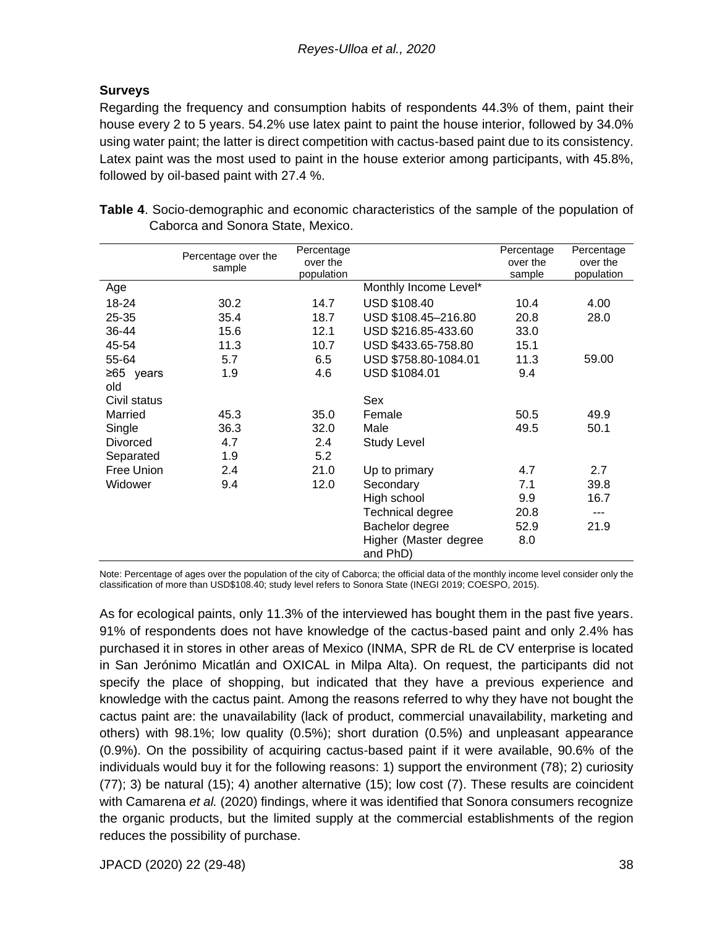## **Surveys**

Regarding the frequency and consumption habits of respondents 44.3% of them, paint their house every 2 to 5 years. 54.2% use latex paint to paint the house interior, followed by 34.0% using water paint; the latter is direct competition with cactus-based paint due to its consistency. Latex paint was the most used to paint in the house exterior among participants, with 45.8%, followed by oil-based paint with 27.4 %.

|                 | Percentage over the<br>sample | Percentage<br>over the<br>population |                                   | Percentage<br>over the<br>sample | Percentage<br>over the<br>population |
|-----------------|-------------------------------|--------------------------------------|-----------------------------------|----------------------------------|--------------------------------------|
| Age             |                               |                                      | Monthly Income Level*             |                                  |                                      |
| 18-24           | 30.2                          | 14.7                                 | USD \$108.40                      | 10.4                             | 4.00                                 |
| 25-35           | 35.4                          | 18.7                                 | USD \$108.45-216.80               | 20.8                             | 28.0                                 |
| 36-44           | 15.6                          | 12.1                                 | USD \$216.85-433.60               | 33.0                             |                                      |
| 45-54           | 11.3                          | 10.7                                 | USD \$433.65-758.80               | 15.1                             |                                      |
| 55-64           | 5.7                           | 6.5                                  | USD \$758.80-1084.01              | 11.3                             | 59.00                                |
| $≥65$ years     | 1.9                           | 4.6                                  | USD \$1084.01                     | 9.4                              |                                      |
| old             |                               |                                      |                                   |                                  |                                      |
| Civil status    |                               |                                      | Sex                               |                                  |                                      |
| Married         | 45.3                          | 35.0                                 | Female                            | 50.5                             | 49.9                                 |
| Single          | 36.3                          | 32.0                                 | Male                              | 49.5                             | 50.1                                 |
| <b>Divorced</b> | 4.7                           | 2.4                                  | <b>Study Level</b>                |                                  |                                      |
| Separated       | 1.9                           | 5.2                                  |                                   |                                  |                                      |
| Free Union      | 2.4                           | 21.0                                 | Up to primary                     | 4.7                              | 2.7                                  |
| Widower         | 9.4                           | 12.0                                 | Secondary                         | 7.1                              | 39.8                                 |
|                 |                               |                                      | High school                       | 9.9                              | 16.7                                 |
|                 |                               |                                      | <b>Technical degree</b>           | 20.8                             | ---                                  |
|                 |                               |                                      | Bachelor degree                   | 52.9                             | 21.9                                 |
|                 |                               |                                      | Higher (Master degree<br>and PhD) | 8.0                              |                                      |

**Table 4**. Socio-demographic and economic characteristics of the sample of the population of Caborca and Sonora State, Mexico.

Note: Percentage of ages over the population of the city of Caborca; the official data of the monthly income level consider only the classification of more than USD\$108.40; study level refers to Sonora State (INEGI 2019; COESPO, 2015).

As for ecological paints, only 11.3% of the interviewed has bought them in the past five years. 91% of respondents does not have knowledge of the cactus-based paint and only 2.4% has purchased it in stores in other areas of Mexico (INMA, SPR de RL de CV enterprise is located in San Jerónimo Micatlán and OXICAL in Milpa Alta). On request, the participants did not specify the place of shopping, but indicated that they have a previous experience and knowledge with the cactus paint. Among the reasons referred to why they have not bought the cactus paint are: the unavailability (lack of product, commercial unavailability, marketing and others) with 98.1%; low quality (0.5%); short duration (0.5%) and unpleasant appearance (0.9%). On the possibility of acquiring cactus-based paint if it were available, 90.6% of the individuals would buy it for the following reasons: 1) support the environment (78); 2) curiosity (77); 3) be natural (15); 4) another alternative (15); low cost (7). These results are coincident with Camarena *et al.* (2020) findings, where it was identified that Sonora consumers recognize the organic products, but the limited supply at the commercial establishments of the region reduces the possibility of purchase.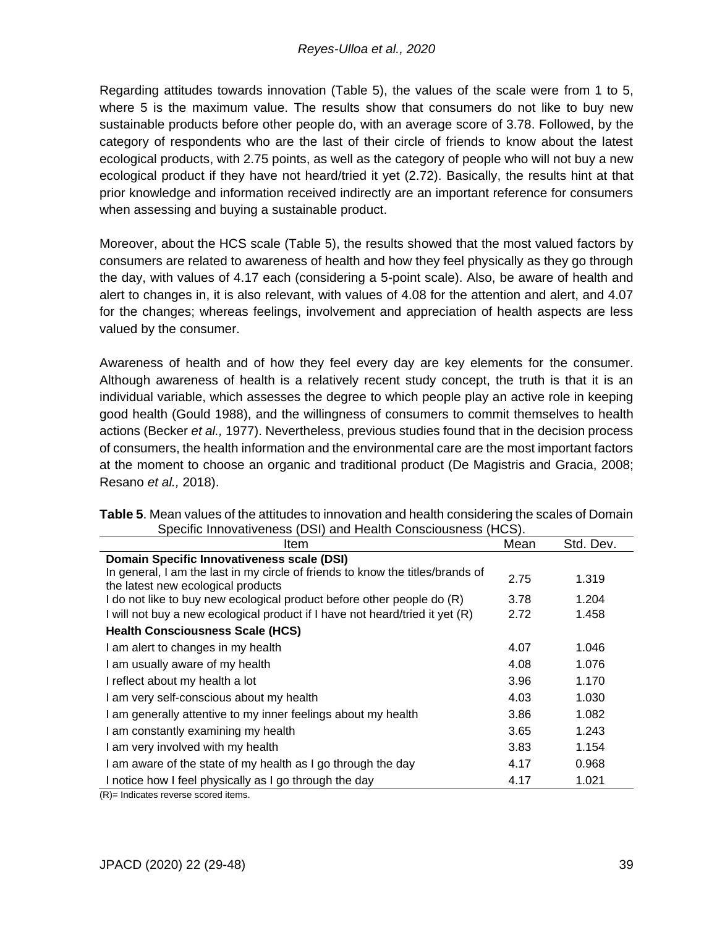Regarding attitudes towards innovation (Table 5), the values of the scale were from 1 to 5, where 5 is the maximum value. The results show that consumers do not like to buy new sustainable products before other people do, with an average score of 3.78. Followed, by the category of respondents who are the last of their circle of friends to know about the latest ecological products, with 2.75 points, as well as the category of people who will not buy a new ecological product if they have not heard/tried it yet (2.72). Basically, the results hint at that prior knowledge and information received indirectly are an important reference for consumers when assessing and buying a sustainable product.

Moreover, about the HCS scale (Table 5), the results showed that the most valued factors by consumers are related to awareness of health and how they feel physically as they go through the day, with values of 4.17 each (considering a 5-point scale). Also, be aware of health and alert to changes in, it is also relevant, with values of 4.08 for the attention and alert, and 4.07 for the changes; whereas feelings, involvement and appreciation of health aspects are less valued by the consumer.

Awareness of health and of how they feel every day are key elements for the consumer. Although awareness of health is a relatively recent study concept, the truth is that it is an individual variable, which assesses the degree to which people play an active role in keeping good health (Gould 1988), and the willingness of consumers to commit themselves to health actions (Becker *et al.,* 1977). Nevertheless, previous studies found that in the decision process of consumers, the health information and the environmental care are the most important factors at the moment to choose an organic and traditional product (De Magistris and Gracia, 2008; Resano *et al.,* 2018).

| Item                                                                                                                                                                                                     | Mean | Std. Dev. |
|----------------------------------------------------------------------------------------------------------------------------------------------------------------------------------------------------------|------|-----------|
| <b>Domain Specific Innovativeness scale (DSI)</b>                                                                                                                                                        |      |           |
| In general, I am the last in my circle of friends to know the titles/brands of<br>the latest new ecological products                                                                                     | 2.75 | 1.319     |
| I do not like to buy new ecological product before other people do (R)                                                                                                                                   | 3.78 | 1.204     |
| I will not buy a new ecological product if I have not heard/tried it yet (R)                                                                                                                             | 2.72 | 1.458     |
| <b>Health Consciousness Scale (HCS)</b>                                                                                                                                                                  |      |           |
| I am alert to changes in my health                                                                                                                                                                       | 4.07 | 1.046     |
| I am usually aware of my health                                                                                                                                                                          | 4.08 | 1.076     |
| I reflect about my health a lot                                                                                                                                                                          | 3.96 | 1.170     |
| I am very self-conscious about my health                                                                                                                                                                 | 4.03 | 1.030     |
| I am generally attentive to my inner feelings about my health                                                                                                                                            | 3.86 | 1.082     |
| I am constantly examining my health                                                                                                                                                                      | 3.65 | 1.243     |
| I am very involved with my health                                                                                                                                                                        | 3.83 | 1.154     |
| I am aware of the state of my health as I go through the day                                                                                                                                             | 4.17 | 0.968     |
| I notice how I feel physically as I go through the day<br>$\sim$ $\sim$ $\sim$ $\sim$<br>the contract of the contract of the contract of the contract of the contract of the contract of the contract of | 4.17 | 1.021     |

**Table 5**. Mean values of the attitudes to innovation and health considering the scales of Domain Specific Innovativeness (DSI) and Health Consciousness (HCS).

(R)= Indicates reverse scored items.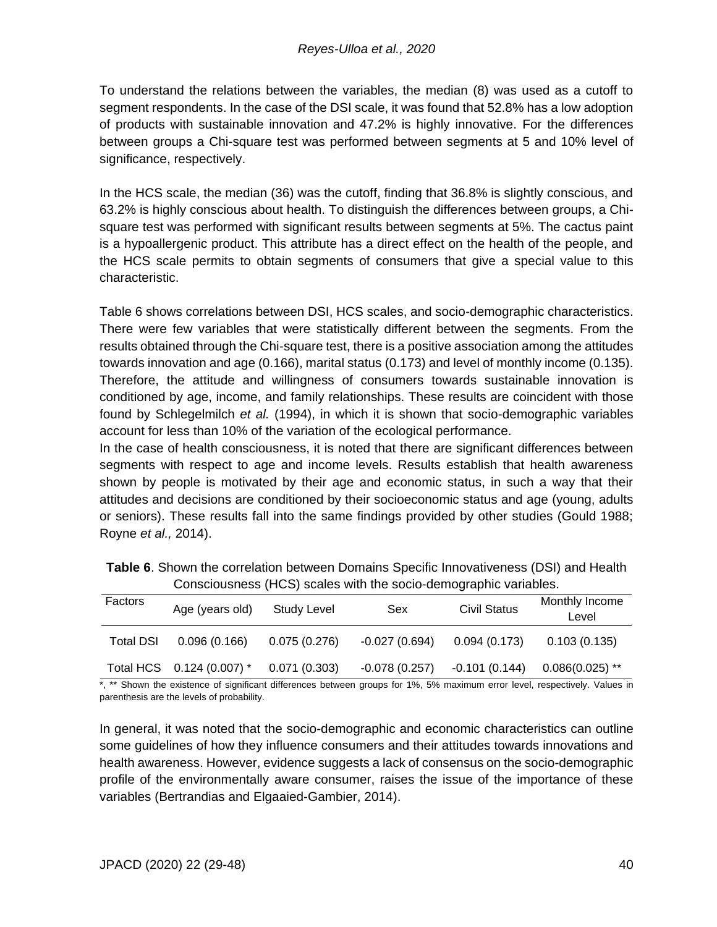To understand the relations between the variables, the median (8) was used as a cutoff to segment respondents. In the case of the DSI scale, it was found that 52.8% has a low adoption of products with sustainable innovation and 47.2% is highly innovative. For the differences between groups a Chi-square test was performed between segments at 5 and 10% level of significance, respectively.

In the HCS scale, the median (36) was the cutoff, finding that 36.8% is slightly conscious, and 63.2% is highly conscious about health. To distinguish the differences between groups, a Chisquare test was performed with significant results between segments at 5%. The cactus paint is a hypoallergenic product. This attribute has a direct effect on the health of the people, and the HCS scale permits to obtain segments of consumers that give a special value to this characteristic.

Table 6 shows correlations between DSI, HCS scales, and socio-demographic characteristics. There were few variables that were statistically different between the segments. From the results obtained through the Chi-square test, there is a positive association among the attitudes towards innovation and age (0.166), marital status (0.173) and level of monthly income (0.135). Therefore, the attitude and willingness of consumers towards sustainable innovation is conditioned by age, income, and family relationships. These results are coincident with those found by Schlegelmilch *et al.* (1994), in which it is shown that socio-demographic variables account for less than 10% of the variation of the ecological performance.

In the case of health consciousness, it is noted that there are significant differences between segments with respect to age and income levels. Results establish that health awareness shown by people is motivated by their age and economic status, in such a way that their attitudes and decisions are conditioned by their socioeconomic status and age (young, adults or seniors). These results fall into the same findings provided by other studies (Gould 1988; Royne *et al.,* 2014).

| Factors          | Age (years old)           | <b>Study Level</b> | Sex             | <b>Civil Status</b> | Monthly Income<br>Level |
|------------------|---------------------------|--------------------|-----------------|---------------------|-------------------------|
| <b>Total DSI</b> | 0.096(0.166)              | 0.075(0.276)       | $-0.027(0.694)$ | 0.094(0.173)        | 0.103(0.135)            |
|                  | Total HCS 0.124 (0.007) * | 0.071(0.303)       | $-0.078(0.257)$ | $-0.101(0.144)$     | $0.086(0.025)$ **       |

**Table 6**. Shown the correlation between Domains Specific Innovativeness (DSI) and Health Consciousness (HCS) scales with the socio-demographic variables.

\*, \*\* Shown the existence of significant differences between groups for 1%, 5% maximum error level, respectively. Values in parenthesis are the levels of probability.

In general, it was noted that the socio-demographic and economic characteristics can outline some guidelines of how they influence consumers and their attitudes towards innovations and health awareness. However, evidence suggests a lack of consensus on the socio-demographic profile of the environmentally aware consumer, raises the issue of the importance of these variables (Bertrandias and Elgaaied-Gambier, 2014).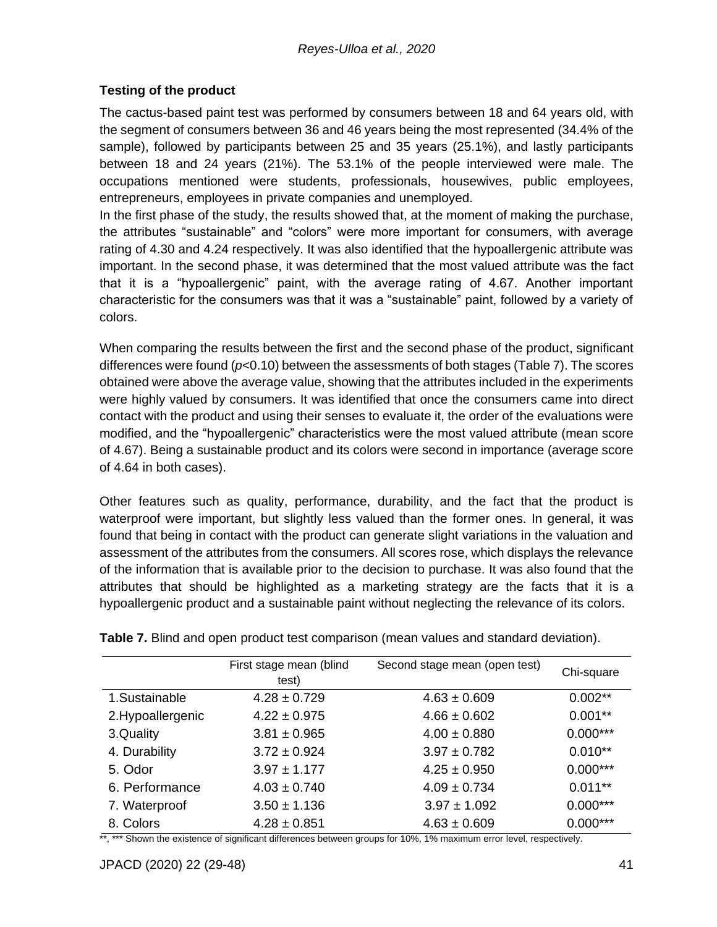## **Testing of the product**

The cactus-based paint test was performed by consumers between 18 and 64 years old, with the segment of consumers between 36 and 46 years being the most represented (34.4% of the sample), followed by participants between 25 and 35 years (25.1%), and lastly participants between 18 and 24 years (21%). The 53.1% of the people interviewed were male. The occupations mentioned were students, professionals, housewives, public employees, entrepreneurs, employees in private companies and unemployed.

In the first phase of the study, the results showed that, at the moment of making the purchase, the attributes "sustainable" and "colors" were more important for consumers, with average rating of 4.30 and 4.24 respectively. It was also identified that the hypoallergenic attribute was important. In the second phase, it was determined that the most valued attribute was the fact that it is a "hypoallergenic" paint, with the average rating of 4.67. Another important characteristic for the consumers was that it was a "sustainable" paint, followed by a variety of colors.

When comparing the results between the first and the second phase of the product, significant differences were found (*p*<0.10) between the assessments of both stages (Table 7). The scores obtained were above the average value, showing that the attributes included in the experiments were highly valued by consumers. It was identified that once the consumers came into direct contact with the product and using their senses to evaluate it, the order of the evaluations were modified, and the "hypoallergenic" characteristics were the most valued attribute (mean score of 4.67). Being a sustainable product and its colors were second in importance (average score of 4.64 in both cases).

Other features such as quality, performance, durability, and the fact that the product is waterproof were important, but slightly less valued than the former ones. In general, it was found that being in contact with the product can generate slight variations in the valuation and assessment of the attributes from the consumers. All scores rose, which displays the relevance of the information that is available prior to the decision to purchase. It was also found that the attributes that should be highlighted as a marketing strategy are the facts that it is a hypoallergenic product and a sustainable paint without neglecting the relevance of its colors.

|                   | First stage mean (blind<br>test) | Second stage mean (open test) | Chi-square |
|-------------------|----------------------------------|-------------------------------|------------|
| 1.Sustainable     | $4.28 \pm 0.729$                 | $4.63 \pm 0.609$              | $0.002**$  |
| 2. Hypoallergenic | $4.22 \pm 0.975$                 | $4.66 \pm 0.602$              | $0.001**$  |
| 3.Quality         | $3.81 \pm 0.965$                 | $4.00 \pm 0.880$              | $0.000***$ |
| 4. Durability     | $3.72 \pm 0.924$                 | $3.97 \pm 0.782$              | $0.010**$  |
| 5. Odor           | $3.97 \pm 1.177$                 | $4.25 \pm 0.950$              | $0.000***$ |
| 6. Performance    | $4.03 \pm 0.740$                 | $4.09 \pm 0.734$              | $0.011**$  |
| 7. Waterproof     | $3.50 \pm 1.136$                 | $3.97 \pm 1.092$              | $0.000***$ |
| 8. Colors         | $4.28 \pm 0.851$                 | $4.63 \pm 0.609$              | $0.000***$ |

**Table 7.** Blind and open product test comparison (mean values and standard deviation).

\*\*, \*\*\* Shown the existence of significant differences between groups for 10%, 1% maximum error level, respectively.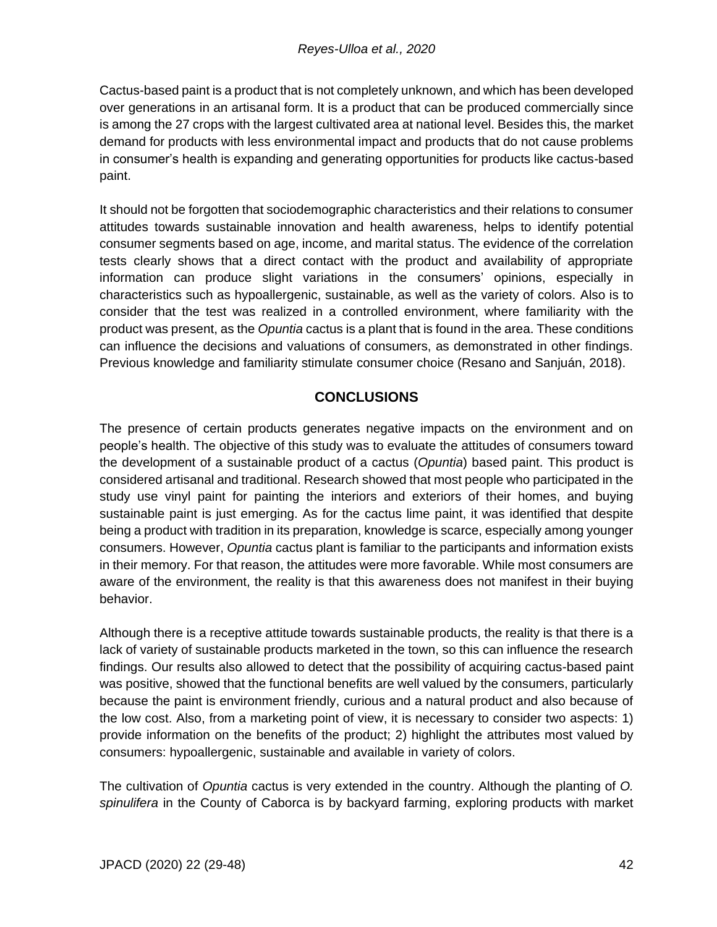Cactus-based paint is a product that is not completely unknown, and which has been developed over generations in an artisanal form. It is a product that can be produced commercially since is among the 27 crops with the largest cultivated area at national level. Besides this, the market demand for products with less environmental impact and products that do not cause problems in consumer's health is expanding and generating opportunities for products like cactus-based paint.

It should not be forgotten that sociodemographic characteristics and their relations to consumer attitudes towards sustainable innovation and health awareness, helps to identify potential consumer segments based on age, income, and marital status. The evidence of the correlation tests clearly shows that a direct contact with the product and availability of appropriate information can produce slight variations in the consumers' opinions, especially in characteristics such as hypoallergenic, sustainable, as well as the variety of colors. Also is to consider that the test was realized in a controlled environment, where familiarity with the product was present, as the *Opuntia* cactus is a plant that is found in the area. These conditions can influence the decisions and valuations of consumers, as demonstrated in other findings. Previous knowledge and familiarity stimulate consumer choice (Resano and Sanjuán, 2018).

## **CONCLUSIONS**

The presence of certain products generates negative impacts on the environment and on people's health. The objective of this study was to evaluate the attitudes of consumers toward the development of a sustainable product of a cactus (*Opuntia*) based paint. This product is considered artisanal and traditional. Research showed that most people who participated in the study use vinyl paint for painting the interiors and exteriors of their homes, and buying sustainable paint is just emerging. As for the cactus lime paint, it was identified that despite being a product with tradition in its preparation, knowledge is scarce, especially among younger consumers. However, *Opuntia* cactus plant is familiar to the participants and information exists in their memory. For that reason, the attitudes were more favorable. While most consumers are aware of the environment, the reality is that this awareness does not manifest in their buying behavior.

Although there is a receptive attitude towards sustainable products, the reality is that there is a lack of variety of sustainable products marketed in the town, so this can influence the research findings. Our results also allowed to detect that the possibility of acquiring cactus-based paint was positive, showed that the functional benefits are well valued by the consumers, particularly because the paint is environment friendly, curious and a natural product and also because of the low cost. Also, from a marketing point of view, it is necessary to consider two aspects: 1) provide information on the benefits of the product; 2) highlight the attributes most valued by consumers: hypoallergenic, sustainable and available in variety of colors.

The cultivation of *Opuntia* cactus is very extended in the country. Although the planting of *O. spinulifera* in the County of Caborca is by backyard farming, exploring products with market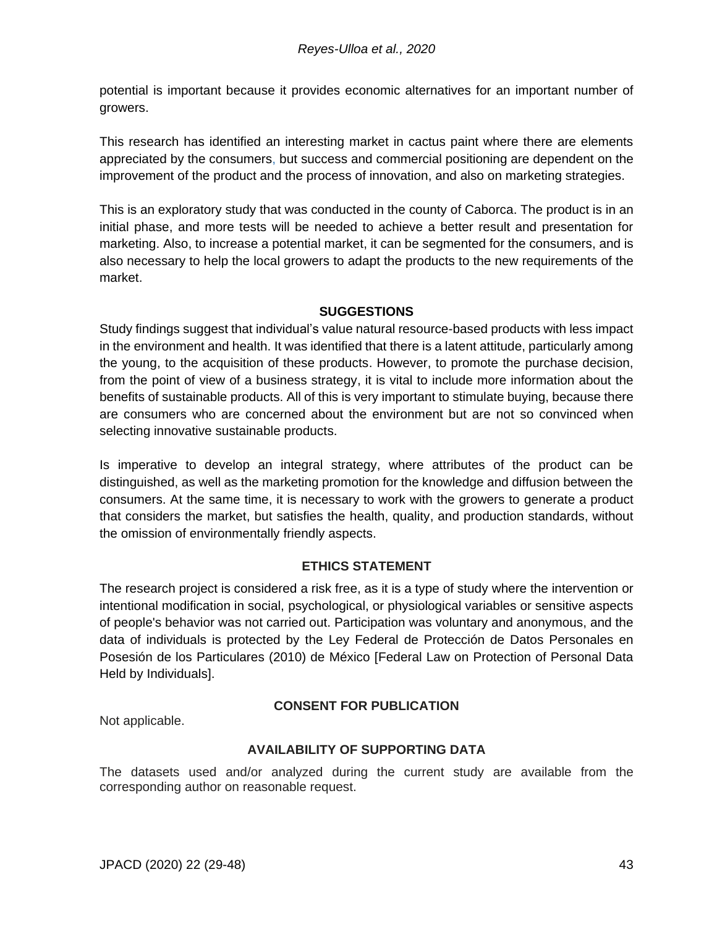potential is important because it provides economic alternatives for an important number of growers.

This research has identified an interesting market in cactus paint where there are elements appreciated by the consumers, but success and commercial positioning are dependent on the improvement of the product and the process of innovation, and also on marketing strategies.

This is an exploratory study that was conducted in the county of Caborca. The product is in an initial phase, and more tests will be needed to achieve a better result and presentation for marketing. Also, to increase a potential market, it can be segmented for the consumers, and is also necessary to help the local growers to adapt the products to the new requirements of the market.

### **SUGGESTIONS**

Study findings suggest that individual's value natural resource-based products with less impact in the environment and health. It was identified that there is a latent attitude, particularly among the young, to the acquisition of these products. However, to promote the purchase decision, from the point of view of a business strategy, it is vital to include more information about the benefits of sustainable products. All of this is very important to stimulate buying, because there are consumers who are concerned about the environment but are not so convinced when selecting innovative sustainable products.

Is imperative to develop an integral strategy, where attributes of the product can be distinguished, as well as the marketing promotion for the knowledge and diffusion between the consumers. At the same time, it is necessary to work with the growers to generate a product that considers the market, but satisfies the health, quality, and production standards, without the omission of environmentally friendly aspects.

### **ETHICS STATEMENT**

The research project is considered a risk free, as it is a type of study where the intervention or intentional modification in social, psychological, or physiological variables or sensitive aspects of people's behavior was not carried out. Participation was voluntary and anonymous, and the data of individuals is protected by the Ley Federal de Protección de Datos Personales en Posesión de los Particulares (2010) de México [Federal Law on Protection of Personal Data Held by Individuals].

## **CONSENT FOR PUBLICATION**

Not applicable.

### **AVAILABILITY OF SUPPORTING DATA**

The datasets used and/or analyzed during the current study are available from the corresponding author on reasonable request.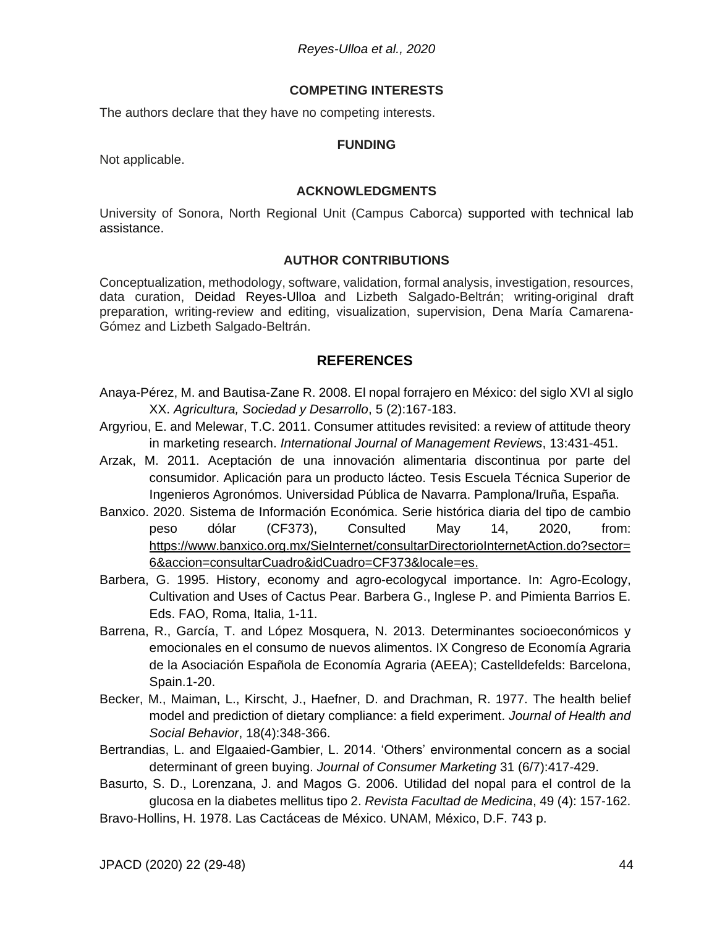#### **COMPETING INTERESTS**

The authors declare that they have no competing interests.

#### **FUNDING**

Not applicable.

#### **ACKNOWLEDGMENTS**

University of Sonora, North Regional Unit (Campus Caborca) supported with technical lab assistance.

#### **AUTHOR CONTRIBUTIONS**

Conceptualization, methodology, software, validation, formal analysis, investigation, resources, data curation, Deidad Reyes-Ulloa and Lizbeth Salgado-Beltrán; writing-original draft preparation, writing-review and editing, visualization, supervision, Dena María Camarena-Gómez and Lizbeth Salgado-Beltrán.

#### **REFERENCES**

- Anaya-Pérez, M. and Bautisa-Zane R. 2008. El nopal forrajero en México: del siglo XVI al siglo XX. *Agricultura, Sociedad y Desarrollo*, 5 (2):167-183.
- Argyriou, E. and Melewar, T.C. 2011. Consumer attitudes revisited: a review of attitude theory in marketing research. *International Journal of Management Reviews*, 13:431-451.
- Arzak, M. 2011. Aceptación de una innovación alimentaria discontinua por parte del consumidor. Aplicación para un producto lácteo. Tesis Escuela Técnica Superior de Ingenieros Agronómos. Universidad Pública de Navarra. Pamplona/Iruña, España.
- Banxico. 2020. Sistema de Información Económica. Serie histórica diaria del tipo de cambio peso dólar (CF373), Consulted May 14, 2020, from: [https://www.banxico.org.mx/SieInternet/consultarDirectorioInternetAction.do?sector=](about:blank) [6&accion=consultarCuadro&idCuadro=CF373&locale=es.](about:blank)
- Barbera, G. 1995. History, economy and agro-ecologycal importance. In: Agro-Ecology, Cultivation and Uses of Cactus Pear. Barbera G., Inglese P. and Pimienta Barrios E. Eds. FAO, Roma, Italia, 1-11.
- Barrena, R., García, T. and López Mosquera, N. 2013. Determinantes socioeconómicos y emocionales en el consumo de nuevos alimentos. IX Congreso de Economía Agraria de la Asociación Española de Economía Agraria (AEEA); Castelldefelds: Barcelona, Spain.1-20.
- Becker, M., Maiman, L., Kirscht, J., Haefner, D. and Drachman, R. 1977. The health belief model and prediction of dietary compliance: a field experiment. *Journal of Health and Social Behavior*, 18(4):348-366.
- Bertrandias, L. and Elgaaied-Gambier, L. 2014. 'Others' environmental concern as a social determinant of green buying. *Journal of Consumer Marketing* 31 (6/7):417-429.
- Basurto, S. D., Lorenzana, J. and Magos G. 2006. Utilidad del nopal para el control de la glucosa en la diabetes mellitus tipo 2. *Revista Facultad de Medicina*, 49 (4): 157-162.
- Bravo-Hollins, H. 1978. Las Cactáceas de México. UNAM, México, D.F. 743 p.

JPACD (2020) 22 (29-48) 44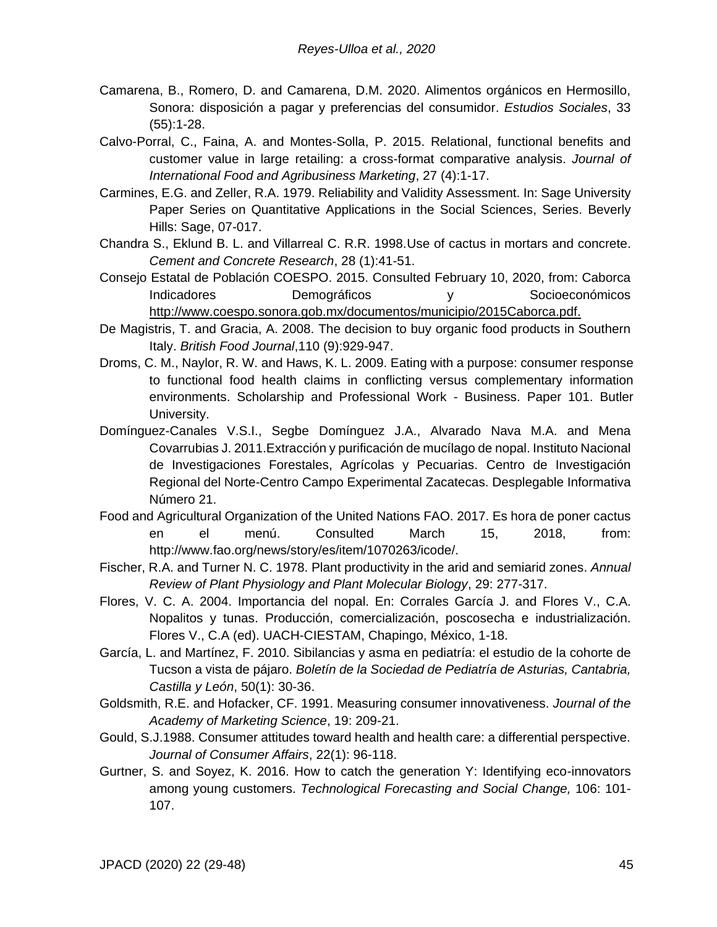- Camarena, B., Romero, D. and Camarena, D.M. 2020. Alimentos orgánicos en Hermosillo, Sonora: disposición a pagar y preferencias del consumidor. *Estudios Sociales*, 33 (55):1-28.
- Calvo-Porral, C., Faina, A. and Montes-Solla, P. 2015. Relational, functional benefits and customer value in large retailing: a cross-format comparative analysis. *Journal of International Food and Agribusiness Marketing*, 27 (4):1-17.
- Carmines, E.G. and Zeller, R.A. 1979. Reliability and Validity Assessment. In: Sage University Paper Series on Quantitative Applications in the Social Sciences, Series. Beverly Hills: Sage, 07-017.
- Chandra S., Eklund B. L. and Villarreal C. R.R. 1998.Use of cactus in mortars and concrete. *Cement and Concrete Research*, 28 (1):41-51.
- Consejo Estatal de Población COESPO. 2015. Consulted February 10, 2020, from: Caborca Indicadores Demográficos y Socioeconómicos [http://www.coespo.sonora.gob.mx/documentos/municipio/2015Caborca.pdf.](about:blank)
- De Magistris, T. and Gracia, A. 2008. The decision to buy organic food products in Southern Italy. *British Food Journal*,110 (9):929-947.
- Droms, C. M., Naylor, R. W. and Haws, K. L. 2009. Eating with a purpose: consumer response to functional food health claims in conflicting versus complementary information environments. Scholarship and Professional Work - Business. Paper 101. Butler University.
- Domínguez-Canales V.S.I., Segbe Domínguez J.A., Alvarado Nava M.A. and Mena Covarrubias J. 2011.Extracción y purificación de mucílago de nopal. Instituto Nacional de Investigaciones Forestales, Agrícolas y Pecuarias. Centro de Investigación Regional del Norte-Centro Campo Experimental Zacatecas. Desplegable Informativa Número 21.
- Food and Agricultural Organization of the United Nations FAO. 2017. Es hora de poner cactus en el menú. Consulted March 15, 2018, from: http://www.fao.org/news/story/es/item/1070263/icode/.
- Fischer, R.A. and Turner N. C. 1978. Plant productivity in the arid and semiarid zones. *Annual Review of Plant Physiology and Plant Molecular Biology*, 29: 277-317.
- Flores, V. C. A. 2004. Importancia del nopal. En: Corrales García J. and Flores V., C.A. Nopalitos y tunas. Producción, comercialización, poscosecha e industrialización. Flores V., C.A (ed). UACH-CIESTAM, Chapingo, México, 1-18.
- García, L. and Martínez, F. 2010. Sibilancias y asma en pediatría: el estudio de la cohorte de Tucson a vista de pájaro. *Boletín de la Sociedad de Pediatría de Asturias, Cantabria, Castilla y León*, 50(1): 30-36.
- Goldsmith, R.E. and Hofacker, CF. 1991. Measuring consumer innovativeness. *Journal of the Academy of Marketing Science*, 19: 209-21.
- Gould, S.J.1988. Consumer attitudes toward health and health care: a differential perspective. *Journal of Consumer Affairs*, 22(1): 96-118.
- Gurtner, S. and Soyez, K. 2016. How to catch the generation Y: Identifying eco-innovators among young customers. *Technological Forecasting and Social Change,* 106: 101- 107.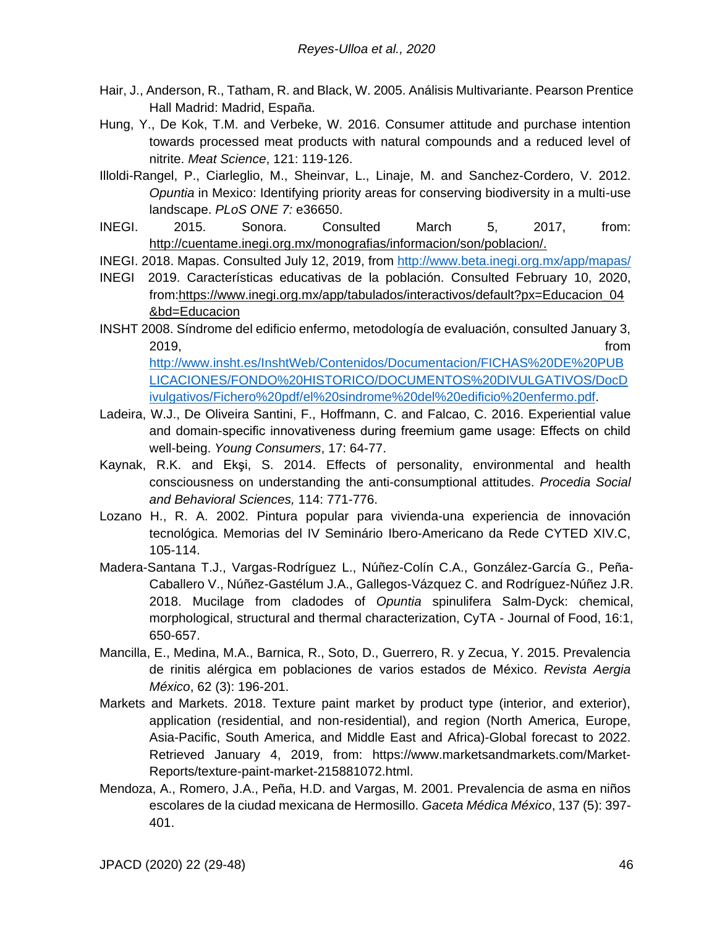- Hair, J., Anderson, R., Tatham, R. and Black, W. 2005. Análisis Multivariante. Pearson Prentice Hall Madrid: Madrid, España.
- Hung, Y., De Kok, T.M. and Verbeke, W. 2016. Consumer attitude and purchase intention towards processed meat products with natural compounds and a reduced level of nitrite. *Meat Science*, 121: 119-126.
- Illoldi-Rangel, P., Ciarleglio, M., Sheinvar, L., Linaje, M. and Sanchez-Cordero, V. 2012. *Opuntia* in Mexico: Identifying priority areas for conserving biodiversity in a multi-use landscape. *PLoS ONE 7:* e36650.
- INEGI. 2015. Sonora. Consulted March 5, 2017, from: [http://cuentame.inegi.org.mx/monografias/informacion/son/poblacion/.](about:blank)
- INEGI. 2018. Mapas. Consulted July 12, 2019, from <http://www.beta.inegi.org.mx/app/mapas/>
- INEGI 2019. Características educativas de la población. Consulted February 10, 2020, from[:https://www.inegi.org.mx/app/tabulados/interactivos/default?px=Educacion\\_04](about:blank) [&bd=Educacion](about:blank)
- INSHT 2008. Síndrome del edificio enfermo, metodología de evaluación, consulted January 3, 2019, from [http://www.insht.es/InshtWeb/Contenidos/Documentacion/FICHAS%20DE%20PUB](http://www.insht.es/InshtWeb/Contenidos/Documentacion/FICHAS%20DE%20PUBLICACIONES/FONDO%20HISTORICO/DOCUMENTOS%20DIVULGATIVOS/DocDivulgativos/Fichero%20pdf/el%20sindrome%20del%20edificio%20enfermo.pdf) [LICACIONES/FONDO%20HISTORICO/DOCUMENTOS%20DIVULGATIVOS/DocD](http://www.insht.es/InshtWeb/Contenidos/Documentacion/FICHAS%20DE%20PUBLICACIONES/FONDO%20HISTORICO/DOCUMENTOS%20DIVULGATIVOS/DocDivulgativos/Fichero%20pdf/el%20sindrome%20del%20edificio%20enfermo.pdf) [ivulgativos/Fichero%20pdf/el%20sindrome%20del%20edificio%20enfermo.pdf.](http://www.insht.es/InshtWeb/Contenidos/Documentacion/FICHAS%20DE%20PUBLICACIONES/FONDO%20HISTORICO/DOCUMENTOS%20DIVULGATIVOS/DocDivulgativos/Fichero%20pdf/el%20sindrome%20del%20edificio%20enfermo.pdf)
- Ladeira, W.J., De Oliveira Santini, F., Hoffmann, C. and Falcao, C. 2016. Experiential value and domain-specific innovativeness during freemium game usage: Effects on child well-being. *Young Consumers*, 17: 64-77.
- Kaynak, R.K. and Ekşi, S. 2014. Effects of personality, environmental and health consciousness on understanding the anti-consumptional attitudes. *Procedia Social and Behavioral Sciences,* 114: 771-776.
- Lozano H., R. A. 2002. Pintura popular para vivienda-una experiencia de innovación tecnológica. Memorias del IV Seminário Ibero-Americano da Rede CYTED XIV.C, 105-114.
- Madera-Santana T.J., Vargas-Rodríguez L., Núñez-Colín C.A., González-García G., Peña-Caballero V., Núñez-Gastélum J.A., Gallegos-Vázquez C. and Rodríguez-Núñez J.R. 2018. Mucilage from cladodes of *Opuntia* spinulifera Salm-Dyck: chemical, morphological, structural and thermal characterization, CyTA - Journal of Food, 16:1, 650-657.
- Mancilla, E., Medina, M.A., Barnica, R., Soto, D., Guerrero, R. y Zecua, Y. 2015. Prevalencia de rinitis alérgica em poblaciones de varios estados de México. *Revista Aergia México*, 62 (3): 196-201.
- Markets and Markets. 2018. Texture paint market by product type (interior, and exterior), application (residential, and non-residential), and region (North America, Europe, Asia-Pacific, South America, and Middle East and Africa)-Global forecast to 2022. Retrieved January 4, 2019, from: https://www.marketsandmarkets.com/Market-Reports/texture-paint-market-215881072.html.
- Mendoza, A., Romero, J.A., Peña, H.D. and Vargas, M. 2001. Prevalencia de asma en niños escolares de la ciudad mexicana de Hermosillo. *Gaceta Médica México*, 137 (5): 397- 401.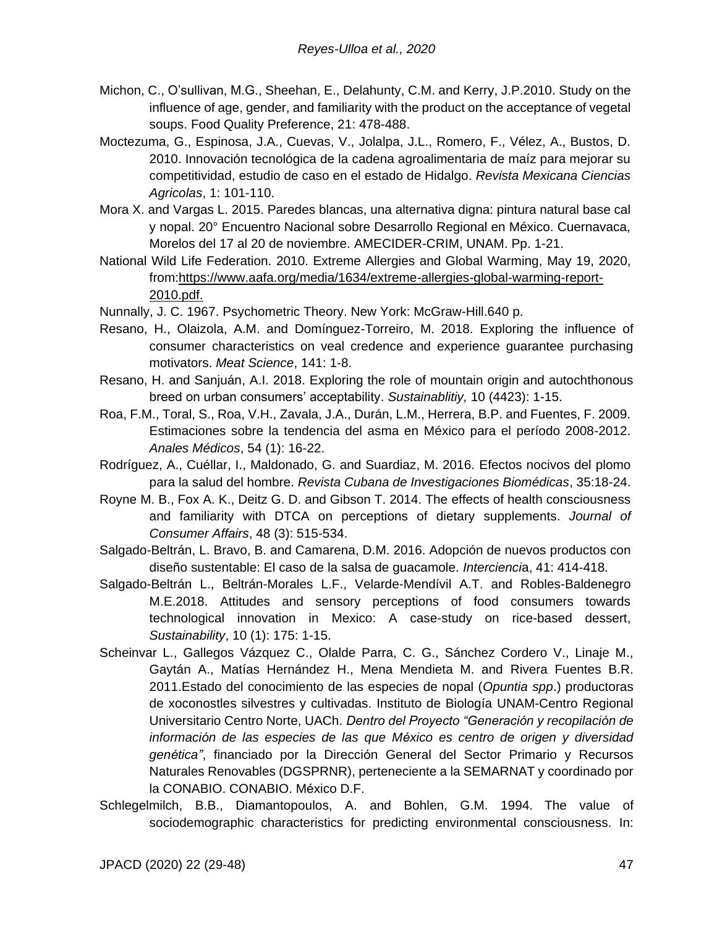- Michon, C., O'sullivan, M.G., Sheehan, E., Delahunty, C.M. and Kerry, J.P.2010. Study on the influence of age, gender, and familiarity with the product on the acceptance of vegetal soups. Food Quality Preference, 21: 478-488.
- Moctezuma, G., Espinosa, J.A., Cuevas, V., Jolalpa, J.L., Romero, F., Vélez, A., Bustos, D. 2010. Innovación tecnológica de la cadena agroalimentaria de maíz para mejorar su competitividad, estudio de caso en el estado de Hidalgo. *Revista Mexicana Ciencias Agricolas*, 1: 101-110.
- Mora X. and Vargas L. 2015. Paredes blancas, una alternativa digna: pintura natural base cal y nopal. 20° Encuentro Nacional sobre Desarrollo Regional en México. Cuernavaca, Morelos del 17 al 20 de noviembre. AMECIDER-CRIM, UNAM. Pp. 1-21.
- National Wild Life Federation. 2010. Extreme Allergies and Global Warming, May 19, 2020, from[:https://www.aafa.org/media/1634/extreme-allergies-global-warming-report-](about:blank)[2010.pdf.](about:blank)
- Nunnally, J. C. 1967. Psychometric Theory. New York: McGraw-Hill.640 p.
- Resano, H., Olaizola, A.M. and Domínguez-Torreiro, M. 2018. Exploring the influence of consumer characteristics on veal credence and experience guarantee purchasing motivators. *Meat Science*, 141: 1-8.
- Resano, H. and Sanjuán, A.I. 2018. Exploring the role of mountain origin and autochthonous breed on urban consumers' acceptability. *Sustainablitiy,* 10 (4423): 1-15.
- Roa, F.M., Toral, S., Roa, V.H., Zavala, J.A., Durán, L.M., Herrera, B.P. and Fuentes, F. 2009. Estimaciones sobre la tendencia del asma en México para el período 2008-2012. *Anales Médicos*, 54 (1): 16-22.
- Rodríguez, A., Cuéllar, I., Maldonado, G. and Suardiaz, M. 2016. Efectos nocivos del plomo para la salud del hombre. *Revista Cubana de Investigaciones Biomédicas*, 35:18-24.
- Royne M. B., Fox A. K., Deitz G. D. and Gibson T. 2014. The effects of health consciousness and familiarity with DTCA on perceptions of dietary supplements. *Journal of Consumer Affairs*, 48 (3): 515-534.
- Salgado-Beltrán, L. Bravo, B. and Camarena, D.M. 2016. Adopción de nuevos productos con diseño sustentable: El caso de la salsa de guacamole. *Intercienci*a, 41: 414-418.
- Salgado-Beltrán L., Beltrán-Morales L.F., Velarde-Mendívil A.T. and Robles-Baldenegro M.E.2018. Attitudes and sensory perceptions of food consumers towards technological innovation in Mexico: A case-study on rice-based dessert, *Sustainability*, 10 (1): 175: 1-15.
- Scheinvar L., Gallegos Vázquez C., Olalde Parra, C. G., Sánchez Cordero V., Linaje M., Gaytán A., Matías Hernández H., Mena Mendieta M. and Rivera Fuentes B.R. 2011.Estado del conocimiento de las especies de nopal (*Opuntia spp*.) productoras de xoconostles silvestres y cultivadas. Instituto de Biología UNAM-Centro Regional Universitario Centro Norte, UACh. *Dentro del Proyecto "Generación y recopilación de información de las especies de las que México es centro de origen y diversidad genética"*, financiado por la Dirección General del Sector Primario y Recursos Naturales Renovables (DGSPRNR), perteneciente a la SEMARNAT y coordinado por la CONABIO. CONABIO. México D.F.
- Schlegelmilch, B.B., Diamantopoulos, A. and Bohlen, G.M. 1994. The value of sociodemographic characteristics for predicting environmental consciousness. In: